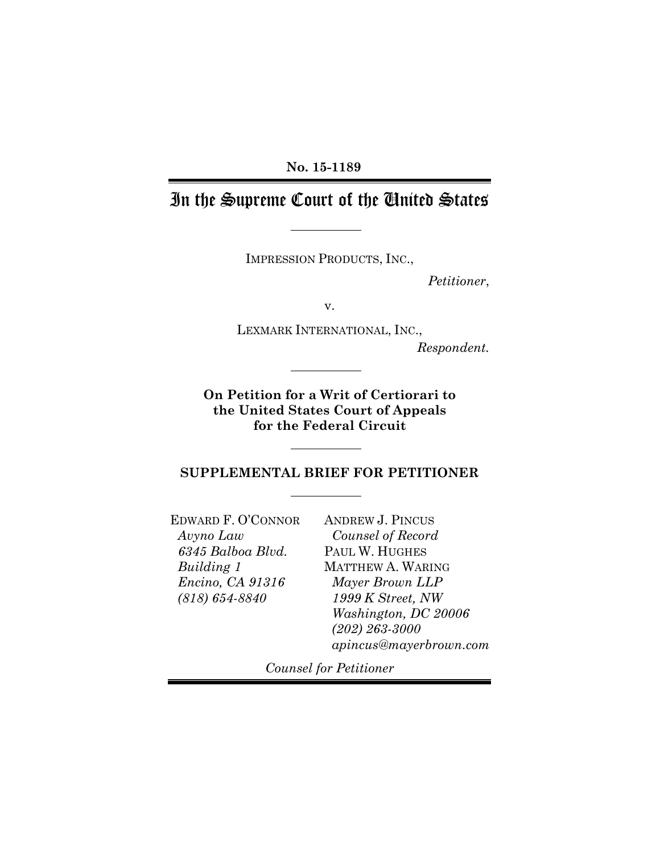### **No. 15-1189**

# In the Supreme Court of the United States

IMPRESSION PRODUCTS, INC.,

*Petitioner*,

v.

LEXMARK INTERNATIONAL, INC.,

*Respondent.*

**On Petition for a Writ of Certiorari to the United States Court of Appeals for the Federal Circuit**

**SUPPLEMENTAL BRIEF FOR PETITIONER**

EDWARD F. O'CONNOR *Avyno Law 6345 Balboa Blvd. Building 1 Encino, CA 91316 (818) 654-8840*

ANDREW J. PINCUS *Counsel of Record* PAUL W. HUGHES MATTHEW A. WARING *Mayer Brown LLP 1999 K Street, NW Washington, DC 20006 (202) 263-3000 apincus@mayerbrown.com*

*Counsel for Petitioner*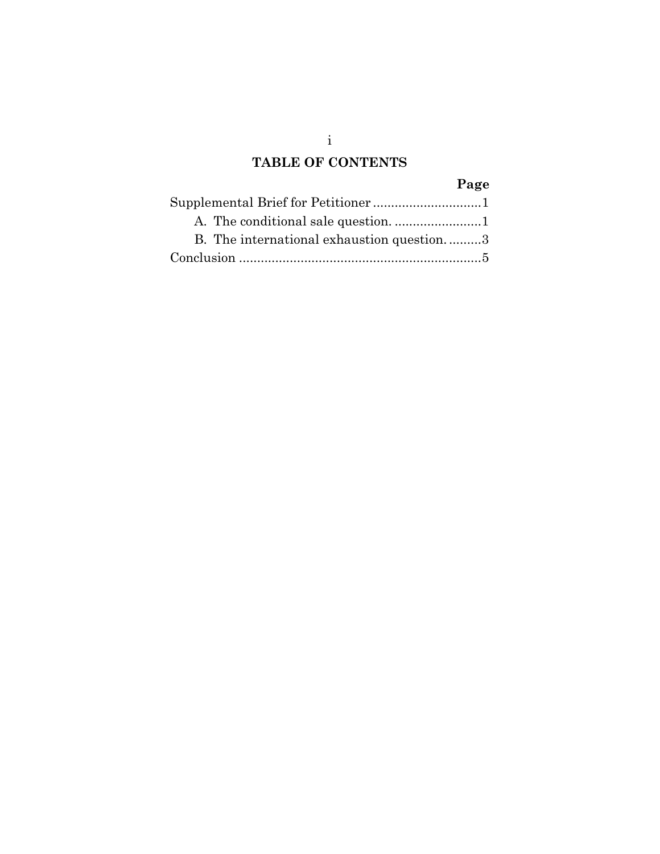### **TABLE OF CONTENTS**

## **Page**

|  | B. The international exhaustion question3 |  |
|--|-------------------------------------------|--|
|  |                                           |  |

i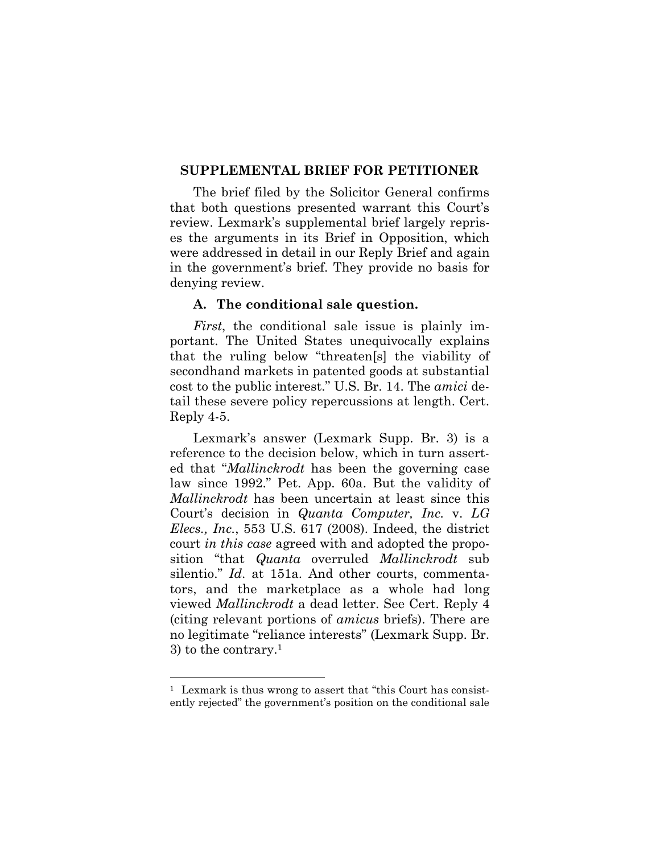#### **SUPPLEMENTAL BRIEF FOR PETITIONER**

The brief filed by the Solicitor General confirms that both questions presented warrant this Court's review. Lexmark's supplemental brief largely reprises the arguments in its Brief in Opposition, which were addressed in detail in our Reply Brief and again in the government's brief. They provide no basis for denying review.

#### **A. The conditional sale question.**

*First*, the conditional sale issue is plainly important. The United States unequivocally explains that the ruling below "threaten[s] the viability of secondhand markets in patented goods at substantial cost to the public interest." U.S. Br. 14. The *amici* detail these severe policy repercussions at length. Cert. Reply 4-5.

Lexmark's answer (Lexmark Supp. Br. 3) is a reference to the decision below, which in turn asserted that "*Mallinckrodt* has been the governing case law since 1992." Pet. App. 60a. But the validity of *Mallinckrodt* has been uncertain at least since this Court's decision in *Quanta Computer, Inc.* v. *LG Elecs., Inc.*, 553 U.S. 617 (2008). Indeed, the district court *in this case* agreed with and adopted the proposition "that *Quanta* overruled *Mallinckrodt* sub silentio." *Id*. at 151a. And other courts, commentators, and the marketplace as a whole had long viewed *Mallinckrodt* a dead letter. See Cert. Reply 4 (citing relevant portions of *amicus* briefs). There are no legitimate "reliance interests" (Lexmark Supp. Br. 3) to the contrary.<sup>1</sup>

<sup>1</sup> Lexmark is thus wrong to assert that "this Court has consistently rejected" the government's position on the conditional sale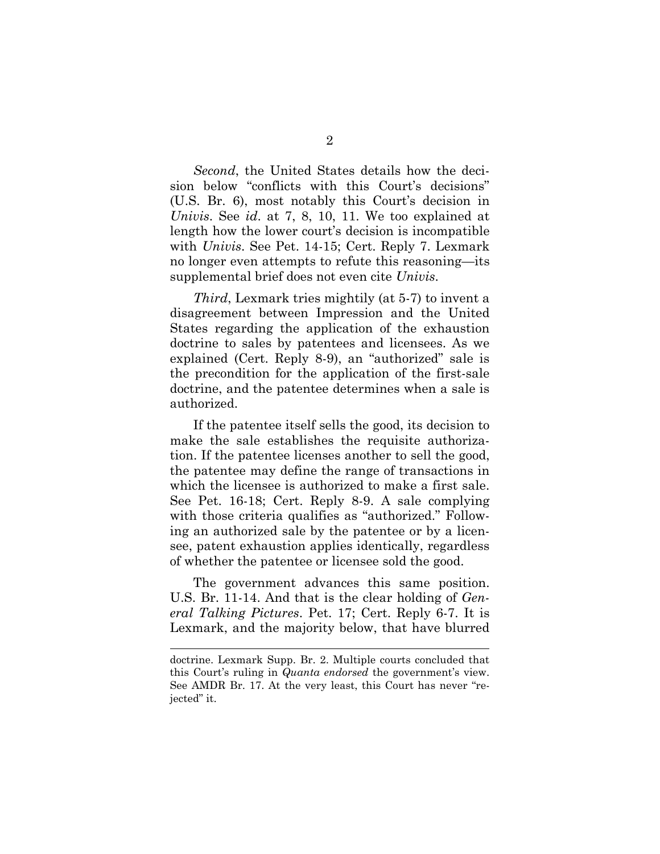*Second*, the United States details how the decision below "conflicts with this Court's decisions" (U.S. Br. 6), most notably this Court's decision in *Univis*. See *id*. at 7, 8, 10, 11. We too explained at length how the lower court's decision is incompatible with *Univis*. See Pet. 14-15; Cert. Reply 7. Lexmark no longer even attempts to refute this reasoning—its supplemental brief does not even cite *Univis*.

*Third*, Lexmark tries mightily (at 5-7) to invent a disagreement between Impression and the United States regarding the application of the exhaustion doctrine to sales by patentees and licensees. As we explained (Cert. Reply 8-9), an "authorized" sale is the precondition for the application of the first-sale doctrine, and the patentee determines when a sale is authorized.

If the patentee itself sells the good, its decision to make the sale establishes the requisite authorization. If the patentee licenses another to sell the good, the patentee may define the range of transactions in which the licensee is authorized to make a first sale. See Pet. 16-18; Cert. Reply 8-9. A sale complying with those criteria qualifies as "authorized." Following an authorized sale by the patentee or by a licensee, patent exhaustion applies identically, regardless of whether the patentee or licensee sold the good.

The government advances this same position. U.S. Br. 11-14. And that is the clear holding of *General Talking Pictures*. Pet. 17; Cert. Reply 6-7. It is Lexmark, and the majority below, that have blurred

doctrine. Lexmark Supp. Br. 2. Multiple courts concluded that this Court's ruling in *Quanta endorsed* the government's view. See AMDR Br. 17. At the very least, this Court has never "rejected" it.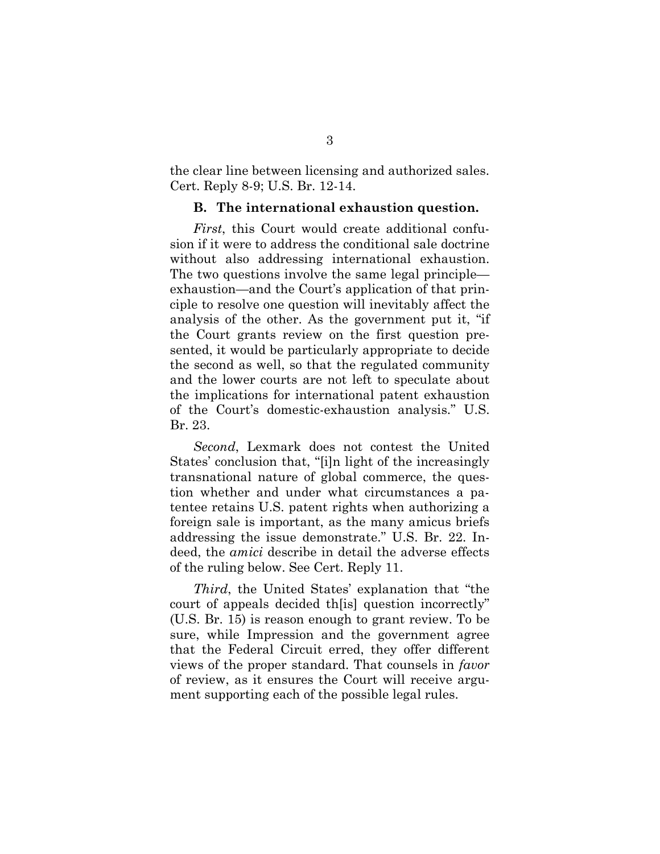the clear line between licensing and authorized sales. Cert. Reply 8-9; U.S. Br. 12-14.

#### **B. The international exhaustion question.**

*First*, this Court would create additional confusion if it were to address the conditional sale doctrine without also addressing international exhaustion. The two questions involve the same legal principle exhaustion—and the Court's application of that principle to resolve one question will inevitably affect the analysis of the other. As the government put it, "if the Court grants review on the first question presented, it would be particularly appropriate to decide the second as well, so that the regulated community and the lower courts are not left to speculate about the implications for international patent exhaustion of the Court's domestic-exhaustion analysis." U.S. Br. 23.

*Second*, Lexmark does not contest the United States' conclusion that, "[i]n light of the increasingly transnational nature of global commerce, the question whether and under what circumstances a patentee retains U.S. patent rights when authorizing a foreign sale is important, as the many amicus briefs addressing the issue demonstrate." U.S. Br. 22. Indeed, the *amici* describe in detail the adverse effects of the ruling below. See Cert. Reply 11.

*Third*, the United States' explanation that "the court of appeals decided th[is] question incorrectly" (U.S. Br. 15) is reason enough to grant review. To be sure, while Impression and the government agree that the Federal Circuit erred, they offer different views of the proper standard. That counsels in *favor* of review, as it ensures the Court will receive argument supporting each of the possible legal rules.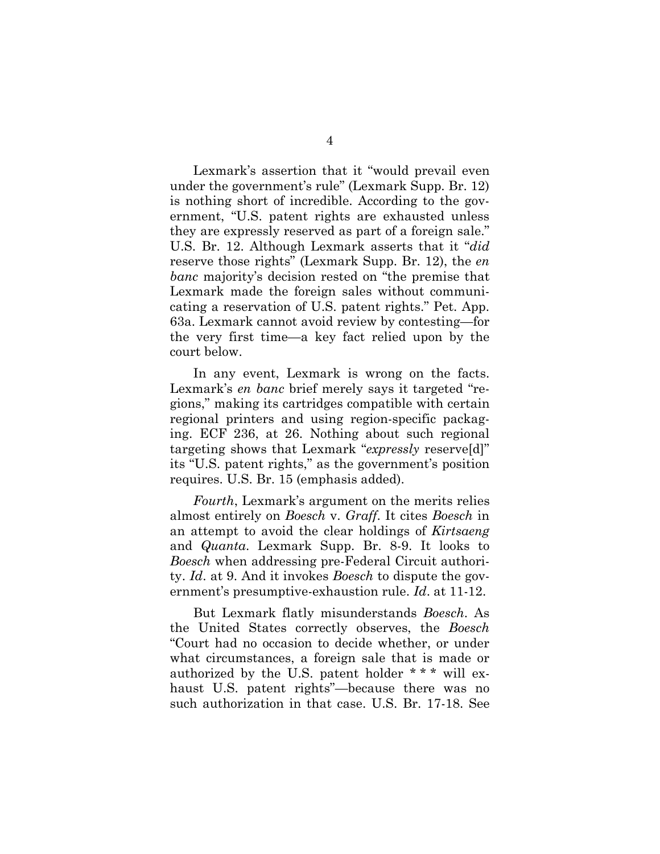Lexmark's assertion that it "would prevail even under the government's rule" (Lexmark Supp. Br. 12) is nothing short of incredible. According to the government, "U.S. patent rights are exhausted unless they are expressly reserved as part of a foreign sale." U.S. Br. 12. Although Lexmark asserts that it "*did* reserve those rights" (Lexmark Supp. Br. 12), the *en banc* majority's decision rested on "the premise that Lexmark made the foreign sales without communicating a reservation of U.S. patent rights." Pet. App. 63a. Lexmark cannot avoid review by contesting—for the very first time—a key fact relied upon by the court below.

In any event, Lexmark is wrong on the facts. Lexmark's *en banc* brief merely says it targeted "regions," making its cartridges compatible with certain regional printers and using region-specific packaging. ECF 236, at 26. Nothing about such regional targeting shows that Lexmark "*expressly* reserve[d]" its "U.S. patent rights," as the government's position requires. U.S. Br. 15 (emphasis added).

*Fourth*, Lexmark's argument on the merits relies almost entirely on *Boesch* v. *Graff*. It cites *Boesch* in an attempt to avoid the clear holdings of *Kirtsaeng* and *Quanta*. Lexmark Supp. Br. 8-9. It looks to *Boesch* when addressing pre-Federal Circuit authority. *Id*. at 9. And it invokes *Boesch* to dispute the government's presumptive-exhaustion rule. *Id*. at 11-12.

But Lexmark flatly misunderstands *Boesch*. As the United States correctly observes, the *Boesch* "Court had no occasion to decide whether, or under what circumstances, a foreign sale that is made or authorized by the U.S. patent holder \* \* \* will exhaust U.S. patent rights"—because there was no such authorization in that case. U.S. Br. 17-18. See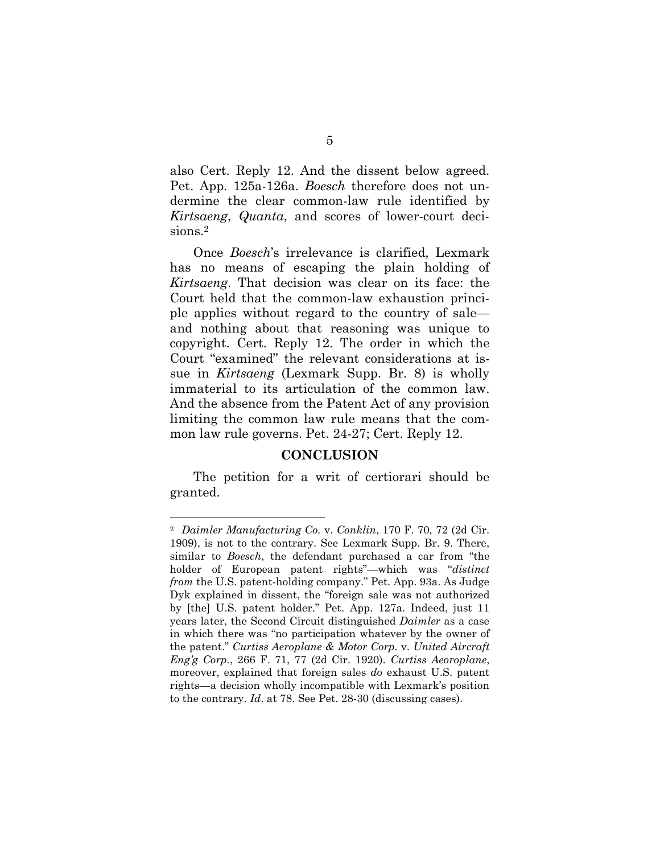also Cert. Reply 12. And the dissent below agreed. Pet. App. 125a-126a. *Boesch* therefore does not undermine the clear common-law rule identified by *Kirtsaeng*, *Quanta*, and scores of lower-court decisions.<sup>2</sup>

Once *Boesch*'s irrelevance is clarified, Lexmark has no means of escaping the plain holding of *Kirtsaeng*. That decision was clear on its face: the Court held that the common-law exhaustion principle applies without regard to the country of sale and nothing about that reasoning was unique to copyright. Cert. Reply 12. The order in which the Court "examined" the relevant considerations at issue in *Kirtsaeng* (Lexmark Supp. Br. 8) is wholly immaterial to its articulation of the common law. And the absence from the Patent Act of any provision limiting the common law rule means that the common law rule governs. Pet. 24-27; Cert. Reply 12.

#### **CONCLUSION**

The petition for a writ of certiorari should be granted.

<sup>2</sup> *Daimler Manufacturing Co.* v. *Conklin*, 170 F. 70, 72 (2d Cir. 1909), is not to the contrary. See Lexmark Supp. Br. 9. There, similar to *Boesch*, the defendant purchased a car from "the holder of European patent rights"—which was "*distinct from* the U.S. patent-holding company." Pet. App. 93a. As Judge Dyk explained in dissent, the "foreign sale was not authorized by [the] U.S. patent holder." Pet. App. 127a. Indeed, just 11 years later, the Second Circuit distinguished *Daimler* as a case in which there was "no participation whatever by the owner of the patent." *Curtiss Aeroplane & Motor Corp.* v. *United Aircraft Eng'g Corp.*, 266 F. 71, 77 (2d Cir. 1920). *Curtiss Aeoroplane*, moreover, explained that foreign sales *do* exhaust U.S. patent rights—a decision wholly incompatible with Lexmark's position to the contrary. *Id*. at 78. See Pet. 28-30 (discussing cases).